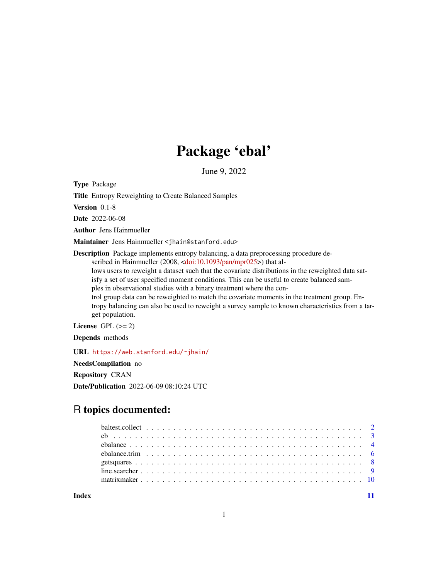## Package 'ebal'

June 9, 2022

Type Package

Title Entropy Reweighting to Create Balanced Samples

Version 0.1-8

Date 2022-06-08

Author Jens Hainmueller

Maintainer Jens Hainmueller <jhain@stanford.edu>

Description Package implements entropy balancing, a data preprocessing procedure de-scribed in Hainmueller (2008, [<doi:10.1093/pan/mpr025>](https://doi.org/10.1093/pan/mpr025)) that al-

lows users to reweight a dataset such that the covariate distributions in the reweighted data satisfy a set of user specified moment conditions. This can be useful to create balanced sam-

ples in observational studies with a binary treatment where the con-

trol group data can be reweighted to match the covariate moments in the treatment group. Entropy balancing can also be used to reweight a survey sample to known characteristics from a target population.

License GPL  $(>= 2)$ 

Depends methods

URL <https://web.stanford.edu/~jhain/>

NeedsCompilation no

Repository CRAN

Date/Publication 2022-06-09 08:10:24 UTC

### R topics documented:

**Index** [11](#page-10-0)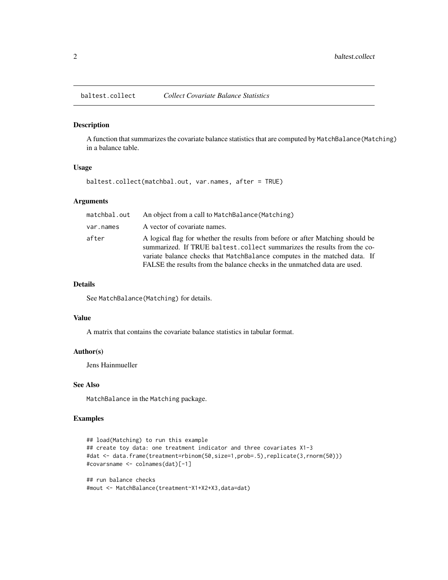<span id="page-1-0"></span>

#### Description

A function that summarizes the covariate balance statistics that are computed by MatchBalance(Matching) in a balance table.

#### Usage

baltest.collect(matchbal.out, var.names, after = TRUE)

#### Arguments

| matchbal.out | An object from a call to MatchBalance (Matching)                                                                                                                                                                                                                                                                    |
|--------------|---------------------------------------------------------------------------------------------------------------------------------------------------------------------------------------------------------------------------------------------------------------------------------------------------------------------|
| var.names    | A vector of covariate names.                                                                                                                                                                                                                                                                                        |
| after        | A logical flag for whether the results from before or after Matching should be<br>summarized. If TRUE baltest.collect summarizes the results from the co-<br>variate balance checks that MatchBalance computes in the matched data. If<br>FALSE the results from the balance checks in the unmatched data are used. |

#### Details

See MatchBalance(Matching) for details.

#### Value

A matrix that contains the covariate balance statistics in tabular format.

#### Author(s)

Jens Hainmueller

#### See Also

MatchBalance in the Matching package.

#### Examples

```
## load(Matching) to run this example
## create toy data: one treatment indicator and three covariates X1-3
#dat <- data.frame(treatment=rbinom(50,size=1,prob=.5),replicate(3,rnorm(50)))
#covarsname <- colnames(dat)[-1]
```

```
## run balance checks
#mout <- MatchBalance(treatment~X1+X2+X3,data=dat)
```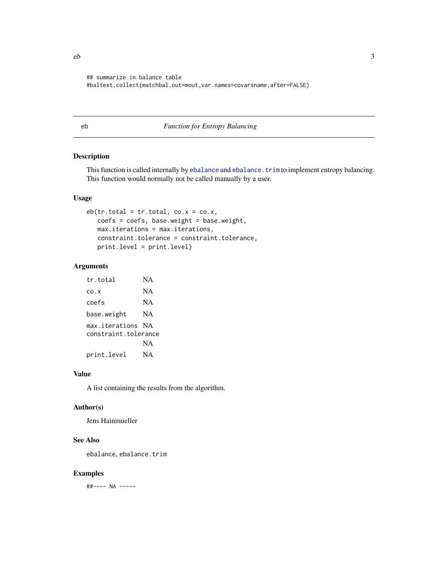```
## summarize in balance table
#baltest.collect(matchbal.out=mout,var.names=covarsname,after=FALSE)
```
#### eb *Function for Entropy Balancing*

#### Description

This function is called internally by [ebalance](#page-3-1) and [ebalance.trim](#page-5-1) to implement entropy balancing. This function would normally not be called manually by a user.

#### Usage

```
eb(tr.total = tr.total, co.x = co.x,coeffs = coefficients, base.weight = base.weight,max.iterations = max.iterations,
   constraint.tolerance = constraint.tolerance,
   print.level = print.level)
```
#### Arguments

```
tr.total NA
co.x NA
coefs NA
base.weight NA
max.iterations NA
constraint.tolerance
           NA
print.level NA
```
#### Value

A list containing the results from the algorithm.

#### Author(s)

Jens Hainmueller

#### See Also

ebalance, ebalance.trim

#### Examples

##---- NA -----

<span id="page-2-0"></span> $e<sup>1</sup>$  3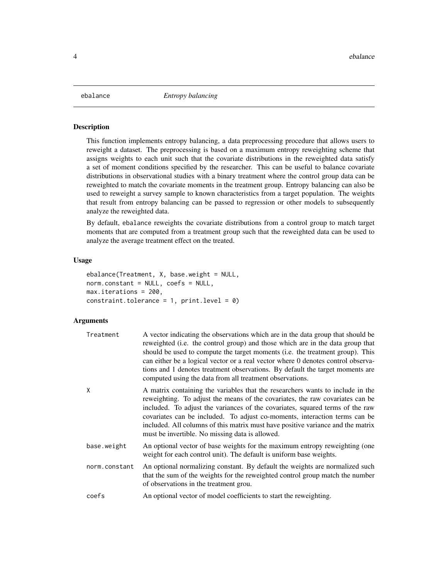<span id="page-3-1"></span><span id="page-3-0"></span>

#### Description

This function implements entropy balancing, a data preprocessing procedure that allows users to reweight a dataset. The preprocessing is based on a maximum entropy reweighting scheme that assigns weights to each unit such that the covariate distributions in the reweighted data satisfy a set of moment conditions specified by the researcher. This can be useful to balance covariate distributions in observational studies with a binary treatment where the control group data can be reweighted to match the covariate moments in the treatment group. Entropy balancing can also be used to reweight a survey sample to known characteristics from a target population. The weights that result from entropy balancing can be passed to regression or other models to subsequently analyze the reweighted data.

By default, ebalance reweights the covariate distributions from a control group to match target moments that are computed from a treatment group such that the reweighted data can be used to analyze the average treatment effect on the treated.

#### Usage

```
ebalance(Treatment, X, base.weight = NULL,
norm.constant = NULL, coefs = NULL,
max.iterations = 200,
constraint.tolerance = 1, print<math>level = 0)
```
#### Arguments

| Treatment     | A vector indicating the observations which are in the data group that should be<br>reweighted (i.e. the control group) and those which are in the data group that<br>should be used to compute the target moments (i.e. the treatment group). This<br>can either be a logical vector or a real vector where 0 denotes control observa-<br>tions and 1 denotes treatment observations. By default the target moments are<br>computed using the data from all treatment observations. |
|---------------|-------------------------------------------------------------------------------------------------------------------------------------------------------------------------------------------------------------------------------------------------------------------------------------------------------------------------------------------------------------------------------------------------------------------------------------------------------------------------------------|
| X             | A matrix containing the variables that the researchers wants to include in the<br>reweighting. To adjust the means of the covariates, the raw covariates can be<br>included. To adjust the variances of the covariates, squared terms of the raw<br>covariates can be included. To adjust co-moments, interaction terms can be<br>included. All columns of this matrix must have positive variance and the matrix<br>must be invertible. No missing data is allowed.                |
| base.weight   | An optional vector of base weights for the maximum entropy reweighting (one<br>weight for each control unit). The default is uniform base weights.                                                                                                                                                                                                                                                                                                                                  |
| norm.constant | An optional normalizing constant. By default the weights are normalized such<br>that the sum of the weights for the reweighted control group match the number<br>of observations in the treatment grou.                                                                                                                                                                                                                                                                             |
| coefs         | An optional vector of model coefficients to start the reweighting.                                                                                                                                                                                                                                                                                                                                                                                                                  |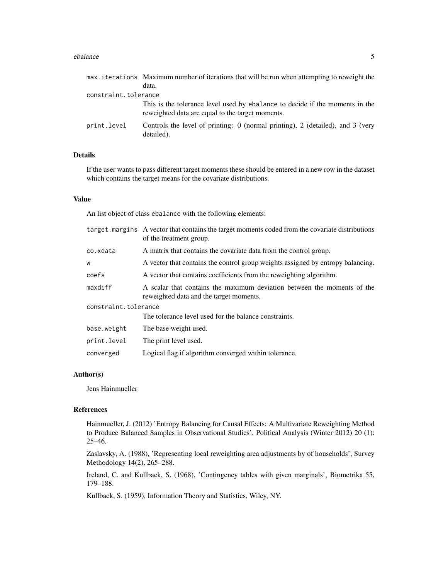#### ebalance 5

|                      | max. iterations Maximum number of iterations that will be run when attempting to reweight the                                    |  |  |  |  |  |  |  |  |
|----------------------|----------------------------------------------------------------------------------------------------------------------------------|--|--|--|--|--|--|--|--|
|                      | data.                                                                                                                            |  |  |  |  |  |  |  |  |
| constraint.tolerance |                                                                                                                                  |  |  |  |  |  |  |  |  |
|                      | This is the tolerance level used by ebalance to decide if the moments in the<br>reweighted data are equal to the target moments. |  |  |  |  |  |  |  |  |
| print.level          | Controls the level of printing: 0 (normal printing), 2 (detailed), and 3 (very<br>detailed).                                     |  |  |  |  |  |  |  |  |

#### Details

If the user wants to pass different target moments these should be entered in a new row in the dataset which contains the target means for the covariate distributions.

#### Value

An list object of class ebalance with the following elements:

| target marging. A vector that contains the target moments coded from the covariate distributions<br>of the treatment group. |  |  |  |  |  |
|-----------------------------------------------------------------------------------------------------------------------------|--|--|--|--|--|
| A matrix that contains the covariate data from the control group.                                                           |  |  |  |  |  |
| A vector that contains the control group weights assigned by entropy balancing.                                             |  |  |  |  |  |
| A vector that contains coefficients from the reweighting algorithm.                                                         |  |  |  |  |  |
| A scalar that contains the maximum deviation between the moments of the<br>reweighted data and the target moments.          |  |  |  |  |  |
| constraint.tolerance                                                                                                        |  |  |  |  |  |
| The tolerance level used for the balance constraints.                                                                       |  |  |  |  |  |
| The base weight used.                                                                                                       |  |  |  |  |  |
| The print level used.                                                                                                       |  |  |  |  |  |
| Logical flag if algorithm converged within tolerance.                                                                       |  |  |  |  |  |
|                                                                                                                             |  |  |  |  |  |

#### Author(s)

Jens Hainmueller

#### References

Hainmueller, J. (2012) 'Entropy Balancing for Causal Effects: A Multivariate Reweighting Method to Produce Balanced Samples in Observational Studies', Political Analysis (Winter 2012) 20 (1): 25–46.

Zaslavsky, A. (1988), 'Representing local reweighting area adjustments by of households', Survey Methodology 14(2), 265–288.

Ireland, C. and Kullback, S. (1968), 'Contingency tables with given marginals', Biometrika 55, 179–188.

Kullback, S. (1959), Information Theory and Statistics, Wiley, NY.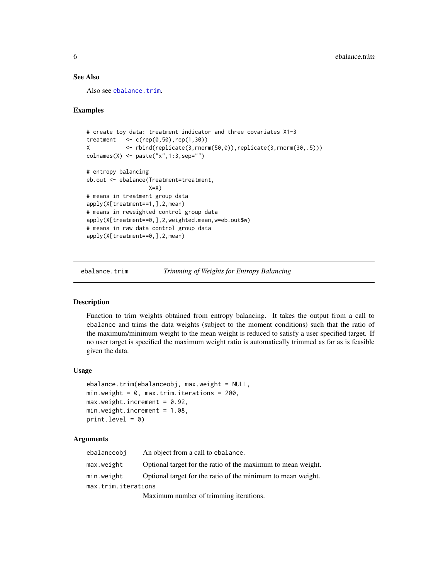#### <span id="page-5-0"></span>See Also

Also see [ebalance.trim](#page-5-1).

#### Examples

```
# create toy data: treatment indicator and three covariates X1-3
treatment \leq c(rep(0,50),rep(1,30))
X <- rbind(replicate(3,rnorm(50,0)),replicate(3,rnorm(30,.5)))
colnames(X) <- paste("x",1:3,sep="")
# entropy balancing
eb.out <- ebalance(Treatment=treatment,
                  X=X# means in treatment group data
apply(X[treatment==1,],2,mean)
# means in reweighted control group data
apply(X[treatment==0,],2,weighted.mean,w=eb.out$w)
# means in raw data control group data
apply(X[treatment==0,],2,mean)
```
<span id="page-5-1"></span>ebalance.trim *Trimming of Weights for Entropy Balancing*

#### Description

Function to trim weights obtained from entropy balancing. It takes the output from a call to ebalance and trims the data weights (subject to the moment conditions) such that the ratio of the maximum/minimum weight to the mean weight is reduced to satisfy a user specified target. If no user target is specified the maximum weight ratio is automatically trimmed as far as is feasible given the data.

#### Usage

```
ebalance.trim(ebalanceobj, max.weight = NULL,
min.weight = 0, max.trim.iterations = 200,
max.weight.increment = 0.92,min.weight.increment = 1.08,
print<math>level = 0)
```
#### **Arguments**

| ebalanceobi         | An object from a call to ebalance.                           |
|---------------------|--------------------------------------------------------------|
| max.weight          | Optional target for the ratio of the maximum to mean weight. |
| min.weight          | Optional target for the ratio of the minimum to mean weight. |
| max.trim.iterations |                                                              |
|                     | Maximum number of trimming iterations                        |

Maximum number of trimming iterations.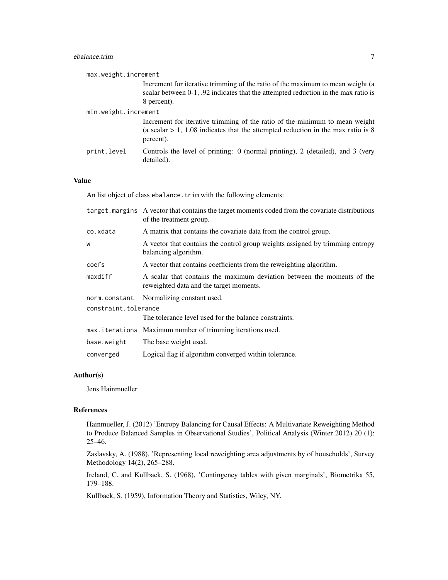#### ebalance.trim 7

| max.weight.increment |                                                                                                                                                                                          |
|----------------------|------------------------------------------------------------------------------------------------------------------------------------------------------------------------------------------|
|                      | Increment for iterative trimming of the ratio of the maximum to mean weight (a<br>scalar between $0-1$ , $.92$ indicates that the attempted reduction in the max ratio is<br>8 percent). |
| min.weight.increment |                                                                                                                                                                                          |
|                      | Increment for iterative trimming of the ratio of the minimum to mean weight<br>(a scalar $> 1$ , 1.08 indicates that the attempted reduction in the max ratio is 8<br>percent).          |
| print.level          | Controls the level of printing: 0 (normal printing), 2 (detailed), and 3 (very<br>detailed).                                                                                             |

#### Value

An list object of class ebalance. trim with the following elements:

|                      | target marging. A vector that contains the target moments coded from the covariate distributions<br>of the treatment group. |
|----------------------|-----------------------------------------------------------------------------------------------------------------------------|
| co.xdata             | A matrix that contains the covariate data from the control group.                                                           |
| W                    | A vector that contains the control group weights assigned by trimming entropy<br>balancing algorithm.                       |
| coefs                | A vector that contains coefficients from the reweighting algorithm.                                                         |
| maxdiff              | A scalar that contains the maximum deviation between the moments of the<br>reweighted data and the target moments.          |
| norm.constant        | Normalizing constant used.                                                                                                  |
| constraint.tolerance |                                                                                                                             |
|                      | The tolerance level used for the balance constraints.                                                                       |
|                      | max.iterations Maximum number of trimming iterations used.                                                                  |
| base.weight          | The base weight used.                                                                                                       |
| converged            | Logical flag if algorithm converged within tolerance.                                                                       |

#### Author(s)

Jens Hainmueller

#### References

Hainmueller, J. (2012) 'Entropy Balancing for Causal Effects: A Multivariate Reweighting Method to Produce Balanced Samples in Observational Studies', Political Analysis (Winter 2012) 20 (1): 25–46.

Zaslavsky, A. (1988), 'Representing local reweighting area adjustments by of households', Survey Methodology 14(2), 265–288.

Ireland, C. and Kullback, S. (1968), 'Contingency tables with given marginals', Biometrika 55, 179–188.

Kullback, S. (1959), Information Theory and Statistics, Wiley, NY.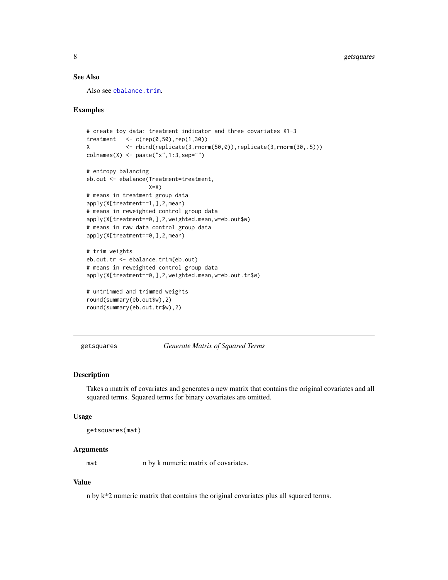#### <span id="page-7-0"></span>See Also

Also see [ebalance.trim](#page-5-1).

#### Examples

```
# create toy data: treatment indicator and three covariates X1-3
treatment \langle -c(\text{rep}(0,50),\text{rep}(1,30)) \rangleX <- rbind(replicate(3,rnorm(50,0)),replicate(3,rnorm(30,.5)))
colnames(X) <- paste("x",1:3,sep="")
# entropy balancing
eb.out <- ebalance(Treatment=treatment,
                   X=X)
# means in treatment group data
apply(X[treatment==1,],2,mean)
# means in reweighted control group data
apply(X[treatment==0,],2,weighted.mean,w=eb.out$w)
# means in raw data control group data
apply(X[treatment==0,],2,mean)
# trim weights
eb.out.tr <- ebalance.trim(eb.out)
# means in reweighted control group data
apply(X[treatment==0,],2,weighted.mean,w=eb.out.tr$w)
# untrimmed and trimmed weights
```

```
round(summary(eb.out$w),2)
round(summary(eb.out.tr$w),2)
```
<span id="page-7-1"></span>getsquares *Generate Matrix of Squared Terms*

#### Description

Takes a matrix of covariates and generates a new matrix that contains the original covariates and all squared terms. Squared terms for binary covariates are omitted.

#### Usage

getsquares(mat)

#### Arguments

mat n by k numeric matrix of covariates.

#### Value

n by k\*2 numeric matrix that contains the original covariates plus all squared terms.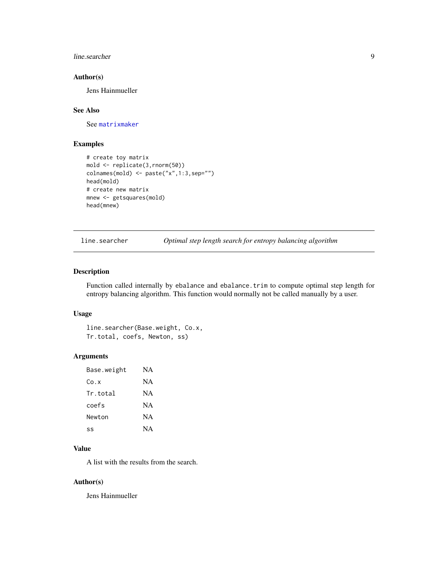#### <span id="page-8-0"></span>line.searcher 9

#### Author(s)

Jens Hainmueller

#### See Also

See [matrixmaker](#page-9-1)

#### Examples

```
# create toy matrix
mold <- replicate(3,rnorm(50))
colnames(mold) <- paste("x",1:3,sep="")
head(mold)
# create new matrix
mnew <- getsquares(mold)
head(mnew)
```
line.searcher *Optimal step length search for entropy balancing algorithm*

#### Description

Function called internally by ebalance and ebalance.trim to compute optimal step length for entropy balancing algorithm. This function would normally not be called manually by a user.

#### Usage

line.searcher(Base.weight, Co.x, Tr.total, coefs, Newton, ss)

#### Arguments

| Base.weight | NA        |
|-------------|-----------|
| Co.x        | NA        |
| Tr.total    | NA        |
| coefs       | NA.       |
| Newton      | <b>NA</b> |
| ςς          | <b>NA</b> |

#### Value

A list with the results from the search.

#### Author(s)

Jens Hainmueller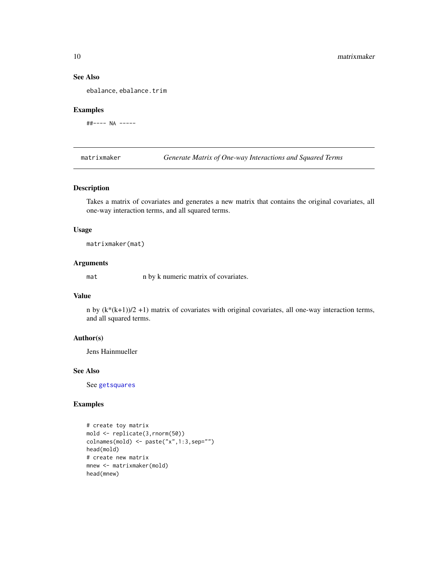#### See Also

ebalance, ebalance.trim

#### Examples

##---- NA -----

<span id="page-9-1"></span>matrixmaker *Generate Matrix of One-way Interactions and Squared Terms*

#### Description

Takes a matrix of covariates and generates a new matrix that contains the original covariates, all one-way interaction terms, and all squared terms.

#### Usage

matrixmaker(mat)

#### Arguments

mat n by k numeric matrix of covariates.

#### Value

n by (k\*(k+1))/2 +1) matrix of covariates with original covariates, all one-way interaction terms, and all squared terms.

#### Author(s)

Jens Hainmueller

#### See Also

See [getsquares](#page-7-1)

#### Examples

# create toy matrix mold <- replicate(3,rnorm(50)) colnames(mold) <- paste("x",1:3,sep="") head(mold) # create new matrix mnew <- matrixmaker(mold) head(mnew)

<span id="page-9-0"></span>